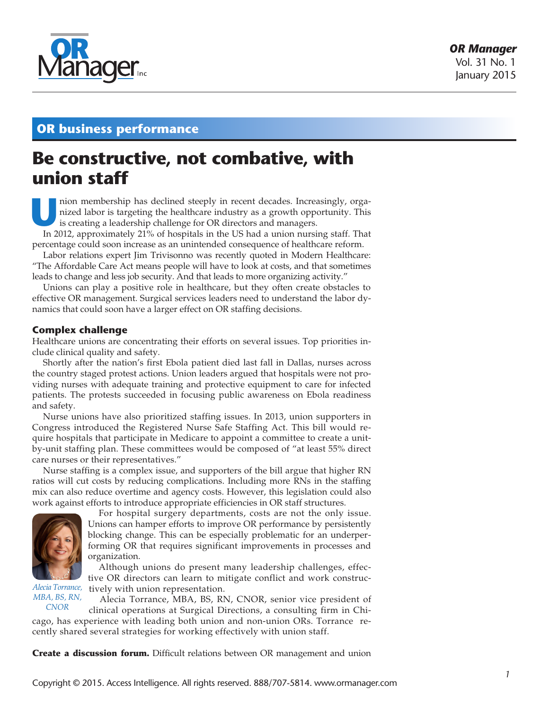

# **OR business performance**

# **Be constructive, not combative, with union staff**

nion membership has declined steeply in recent decades. Increasingly, organized labor is targeting the healthcare industry as a growth opportunity. This is creating a leadership challenge for OR directors and managers.

In 2012, approximately 21% of hospitals in the US had a union nursing staff. That percentage could soon increase as an unintended consequence of healthcare reform.

Labor relations expert Jim Trivisonno was recently quoted in Modern Healthcare: "The Affordable Care Act means people will have to look at costs, and that sometimes leads to change and less job security. And that leads to more organizing activity."

Unions can play a positive role in healthcare, but they often create obstacles to effective OR management. Surgical services leaders need to understand the labor dynamics that could soon have a larger effect on OR staffing decisions.

## **Complex challenge**

Healthcare unions are concentrating their efforts on several issues. Top priorities include clinical quality and safety.

Shortly after the nation's first Ebola patient died last fall in Dallas, nurses across the country staged protest actions. Union leaders argued that hospitals were not providing nurses with adequate training and protective equipment to care for infected patients. The protests succeeded in focusing public awareness on Ebola readiness and safety.

Nurse unions have also prioritized staffing issues. In 2013, union supporters in Congress introduced the Registered Nurse Safe Staffing Act. This bill would require hospitals that participate in Medicare to appoint a committee to create a unitby-unit staffing plan. These committees would be composed of "at least 55% direct care nurses or their representatives."

Nurse staffing is a complex issue, and supporters of the bill argue that higher RN ratios will cut costs by reducing complications. Including more RNs in the staffing mix can also reduce overtime and agency costs. However, this legislation could also work against efforts to introduce appropriate efficiencies in OR staff structures.



For hospital surgery departments, costs are not the only issue. Unions can hamper efforts to improve OR performance by persistently blocking change. This can be especially problematic for an underperforming OR that requires significant improvements in processes and organization.

Although unions do present many leadership challenges, effective OR directors can learn to mitigate conflict and work constructively with union representation.

*Alecia Torrance, MBA, BS, RN, CNOR*

Alecia Torrance, MBA, BS, RN, CNOR, senior vice president of

clinical operations at Surgical Directions, a consulting firm in Chicago, has experience with leading both union and non-union ORs. Torrance recently shared several strategies for working effectively with union staff.

**Create a discussion forum.** Difficult relations between OR management and union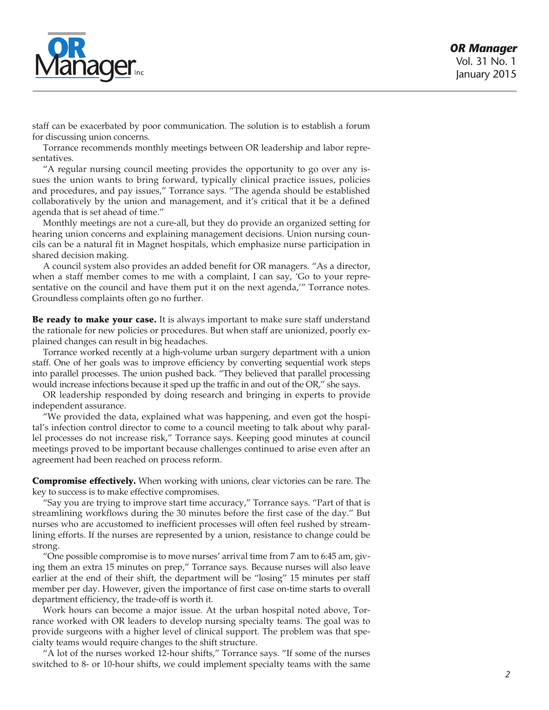

staff can be exacerbated by poor communication. The solution is to establish a forum for discussing union concerns.

Torrance recommends monthly meetings between OR leadership and labor representatives.

"A regular nursing council meeting provides the opportunity to go over any issues the union wants to bring forward, typically clinical practice issues, policies and procedures, and pay issues," Torrance says. "The agenda should be established collaboratively by the union and management, and it's critical that it be a defined agenda that is set ahead of time."

Monthly meetings are not a cure-all, but they do provide an organized setting for hearing union concerns and explaining management decisions. Union nursing councils can be a natural fit in Magnet hospitals, which emphasize nurse participation in shared decision making.

A council system also provides an added benefit for OR managers. "As a director, when a staff member comes to me with a complaint, I can say, 'Go to your representative on the council and have them put it on the next agenda,'" Torrance notes. Groundless complaints often go no further.

Be ready to make your case. It is always important to make sure staff understand the rationale for new policies or procedures. But when staff are unionized, poorly explained changes can result in big headaches.

Torrance worked recently at a high-volume urban surgery department with a union staff. One of her goals was to improve efficiency by converting sequential work steps into parallel processes. The union pushed back. "They believed that parallel processing would increase infections because it sped up the traffic in and out of the OR," she says.

OR leadership responded by doing research and bringing in experts to provide independent assurance.

"We provided the data, explained what was happening, and even got the hospital's infection control director to come to a council meeting to talk about why parallel processes do not increase risk," Torrance says. Keeping good minutes at council meetings proved to be important because challenges continued to arise even after an agreement had been reached on process reform.

**Compromise effectively.** When working with unions, clear victories can be rare. The key to success is to make effective compromises.

"Say you are trying to improve start time accuracy," Torrance says. "Part of that is streamlining workflows during the 30 minutes before the first case of the day." But nurses who are accustomed to inefficient processes will often feel rushed by streamlining efforts. If the nurses are represented by a union, resistance to change could be strong.

"One possible compromise is to move nurses' arrival time from 7 am to 6:45 am, giving them an extra 15 minutes on prep," Torrance says. Because nurses will also leave earlier at the end of their shift, the department will be "losing" 15 minutes per staff member per day. However, given the importance of first case on-time starts to overall department efficiency, the trade-off is worth it.

Work hours can become a major issue. At the urban hospital noted above, Torrance worked with OR leaders to develop nursing specialty teams. The goal was to provide surgeons with a higher level of clinical support. The problem was that specialty teams would require changes to the shift structure.

"A lot of the nurses worked 12-hour shifts," Torrance says. "If some of the nurses switched to 8- or 10-hour shifts, we could implement specialty teams with the same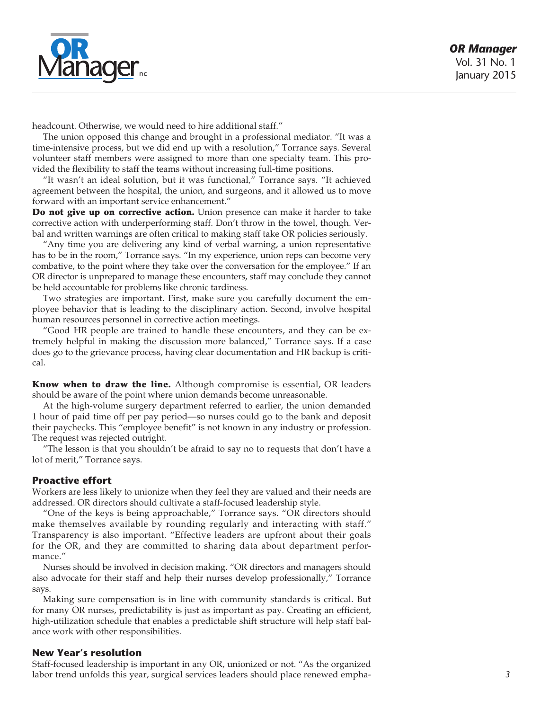

headcount. Otherwise, we would need to hire additional staff."

The union opposed this change and brought in a professional mediator. "It was a time-intensive process, but we did end up with a resolution," Torrance says. Several volunteer staff members were assigned to more than one specialty team. This provided the flexibility to staff the teams without increasing full-time positions.

"It wasn't an ideal solution, but it was functional," Torrance says. "It achieved agreement between the hospital, the union, and surgeons, and it allowed us to move forward with an important service enhancement."

Do not give up on corrective action. Union presence can make it harder to take corrective action with underperforming staff. Don't throw in the towel, though. Verbal and written warnings are often critical to making staff take OR policies seriously.

"Any time you are delivering any kind of verbal warning, a union representative has to be in the room," Torrance says. "In my experience, union reps can become very combative, to the point where they take over the conversation for the employee." If an OR director is unprepared to manage these encounters, staff may conclude they cannot be held accountable for problems like chronic tardiness.

Two strategies are important. First, make sure you carefully document the employee behavior that is leading to the disciplinary action. Second, involve hospital human resources personnel in corrective action meetings.

"Good HR people are trained to handle these encounters, and they can be extremely helpful in making the discussion more balanced," Torrance says. If a case does go to the grievance process, having clear documentation and HR backup is critical.

Know when to draw the line. Although compromise is essential, OR leaders should be aware of the point where union demands become unreasonable.

At the high-volume surgery department referred to earlier, the union demanded 1 hour of paid time off per pay period—so nurses could go to the bank and deposit their paychecks. This "employee benefit" is not known in any industry or profession. The request was rejected outright.

"The lesson is that you shouldn't be afraid to say no to requests that don't have a lot of merit," Torrance says.

## **Proactive effort**

Workers are less likely to unionize when they feel they are valued and their needs are addressed. OR directors should cultivate a staff-focused leadership style.

"One of the keys is being approachable," Torrance says. "OR directors should make themselves available by rounding regularly and interacting with staff." Transparency is also important. "Effective leaders are upfront about their goals for the OR, and they are committed to sharing data about department performance."

Nurses should be involved in decision making. "OR directors and managers should also advocate for their staff and help their nurses develop professionally," Torrance says.

Making sure compensation is in line with community standards is critical. But for many OR nurses, predictability is just as important as pay. Creating an efficient, high-utilization schedule that enables a predictable shift structure will help staff balance work with other responsibilities.

#### **New Year's resolution**

Staff-focused leadership is important in any OR, unionized or not. "As the organized labor trend unfolds this year, surgical services leaders should place renewed empha-